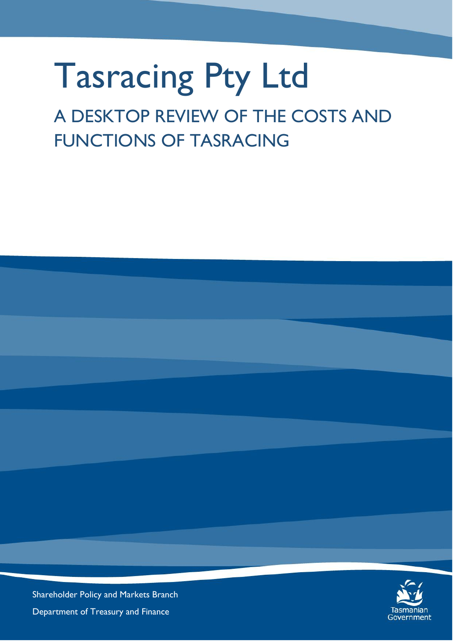## Tasracing Pty Ltd

## A DESKTOP REVIEW OF THE COSTS AND FUNCTIONS OF TASRACING



Shareholder Policy and Markets Branch Department of Treasury and Finance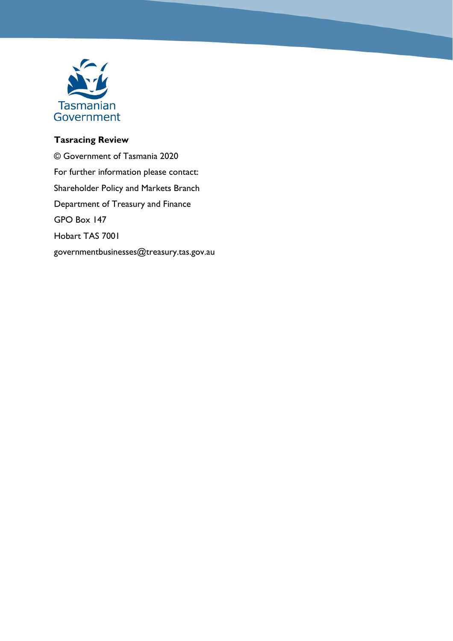

## **Tasracing Review**

© Government of Tasmania 2020 For further information please contact: Shareholder Policy and Markets Branch Department of Treasury and Finance GPO Box 147 Hobart TAS 7001 governmentbusinesses@treasury.tas.gov.au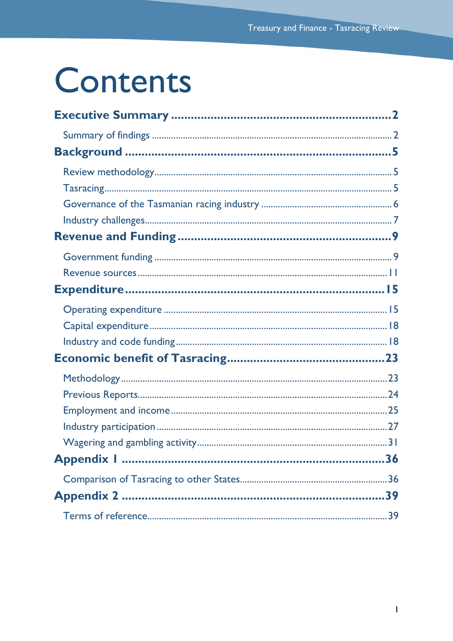## Contents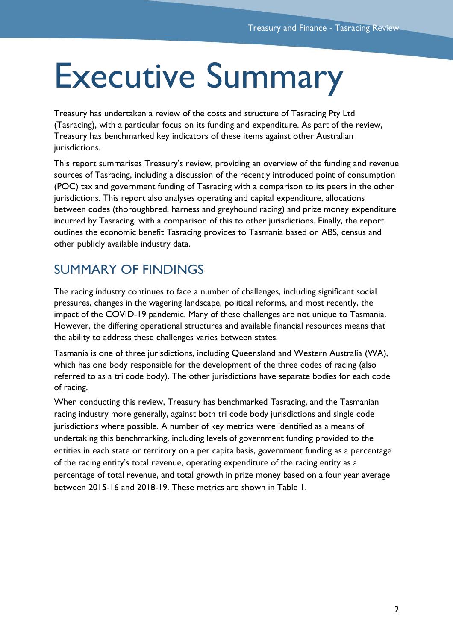## <span id="page-3-0"></span>Executive Summary

Treasury has undertaken a review of the costs and structure of Tasracing Pty Ltd (Tasracing), with a particular focus on its funding and expenditure. As part of the review, Treasury has benchmarked key indicators of these items against other Australian jurisdictions.

This report summarises Treasury's review, providing an overview of the funding and revenue sources of Tasracing, including a discussion of the recently introduced point of consumption (POC) tax and government funding of Tasracing with a comparison to its peers in the other jurisdictions. This report also analyses operating and capital expenditure, allocations between codes (thoroughbred, harness and greyhound racing) and prize money expenditure incurred by Tasracing, with a comparison of this to other jurisdictions. Finally, the report outlines the economic benefit Tasracing provides to Tasmania based on ABS, census and other publicly available industry data.

## <span id="page-3-1"></span>SUMMARY OF FINDINGS

The racing industry continues to face a number of challenges, including significant social pressures, changes in the wagering landscape, political reforms, and most recently, the impact of the COVID-19 pandemic. Many of these challenges are not unique to Tasmania. However, the differing operational structures and available financial resources means that the ability to address these challenges varies between states.

Tasmania is one of three jurisdictions, including Queensland and Western Australia (WA), which has one body responsible for the development of the three codes of racing (also referred to as a tri code body). The other jurisdictions have separate bodies for each code of racing.

When conducting this review, Treasury has benchmarked Tasracing, and the Tasmanian racing industry more generally, against both tri code body jurisdictions and single code jurisdictions where possible. A number of key metrics were identified as a means of undertaking this benchmarking, including levels of government funding provided to the entities in each state or territory on a per capita basis, government funding as a percentage of the racing entity's total revenue, operating expenditure of the racing entity as a percentage of total revenue, and total growth in prize money based on a four year average between 2015-16 and 2018-19. These metrics are shown in Table 1.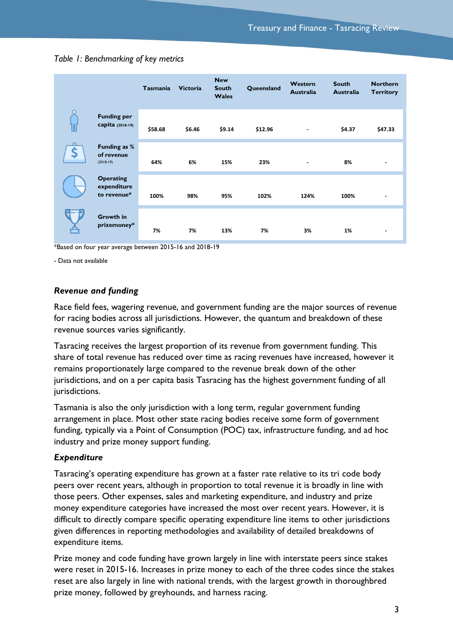|                |                                                | <b>Tasmania</b> | <b>Victoria</b> | <b>New</b><br><b>South</b><br><b>Wales</b> | Queensland | Western<br><b>Australia</b> | <b>South</b><br><b>Australia</b> | <b>Northern</b><br><b>Territory</b> |
|----------------|------------------------------------------------|-----------------|-----------------|--------------------------------------------|------------|-----------------------------|----------------------------------|-------------------------------------|
| W              | <b>Funding per</b><br>Capita (2018-19)         | \$58.68         | \$6.46          | \$9.14                                     | \$12.96    | $\blacksquare$              | \$4.37                           | \$47.33                             |
| $\Omega$<br>\$ | Funding as %<br>of revenue<br>$(2018-19)$      | 64%             | 6%              | 15%                                        | 23%        | ۰                           | 8%                               | $\blacksquare$                      |
|                | <b>Operating</b><br>expenditure<br>to revenue* | 100%            | 98%             | 95%                                        | 102%       | 124%                        | 100%                             |                                     |
|                | Growth in<br>prizemoney*                       | 7%              | 7%              | 13%                                        | 7%         | 3%                          | 1%                               |                                     |

#### *Table 1: Benchmarking of key metrics*

\*Based on four year average between 2015-16 and 2018-19

- Data not available

#### *Revenue and funding*

Race field fees, wagering revenue, and government funding are the major sources of revenue for racing bodies across all jurisdictions. However, the quantum and breakdown of these revenue sources varies significantly.

Tasracing receives the largest proportion of its revenue from government funding. This share of total revenue has reduced over time as racing revenues have increased, however it remains proportionately large compared to the revenue break down of the other jurisdictions, and on a per capita basis Tasracing has the highest government funding of all jurisdictions.

Tasmania is also the only jurisdiction with a long term, regular government funding arrangement in place. Most other state racing bodies receive some form of government funding, typically via a Point of Consumption (POC) tax, infrastructure funding, and ad hoc industry and prize money support funding.

#### *Expenditure*

Tasracing's operating expenditure has grown at a faster rate relative to its tri code body peers over recent years, although in proportion to total revenue it is broadly in line with those peers. Other expenses, sales and marketing expenditure, and industry and prize money expenditure categories have increased the most over recent years. However, it is difficult to directly compare specific operating expenditure line items to other jurisdictions given differences in reporting methodologies and availability of detailed breakdowns of expenditure items.

Prize money and code funding have grown largely in line with interstate peers since stakes were reset in 2015-16. Increases in prize money to each of the three codes since the stakes reset are also largely in line with national trends, with the largest growth in thoroughbred prize money, followed by greyhounds, and harness racing.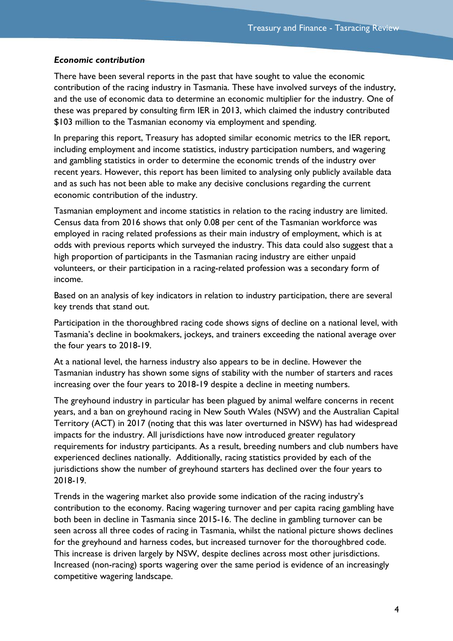#### *Economic contribution*

There have been several reports in the past that have sought to value the economic contribution of the racing industry in Tasmania. These have involved surveys of the industry, and the use of economic data to determine an economic multiplier for the industry. One of these was prepared by consulting firm IER in 2013, which claimed the industry contributed \$103 million to the Tasmanian economy via employment and spending.

In preparing this report, Treasury has adopted similar economic metrics to the IER report, including employment and income statistics, industry participation numbers, and wagering and gambling statistics in order to determine the economic trends of the industry over recent years. However, this report has been limited to analysing only publicly available data and as such has not been able to make any decisive conclusions regarding the current economic contribution of the industry.

Tasmanian employment and income statistics in relation to the racing industry are limited. Census data from 2016 shows that only 0.08 per cent of the Tasmanian workforce was employed in racing related professions as their main industry of employment, which is at odds with previous reports which surveyed the industry. This data could also suggest that a high proportion of participants in the Tasmanian racing industry are either unpaid volunteers, or their participation in a racing-related profession was a secondary form of income.

Based on an analysis of key indicators in relation to industry participation, there are several key trends that stand out.

Participation in the thoroughbred racing code shows signs of decline on a national level, with Tasmania's decline in bookmakers, jockeys, and trainers exceeding the national average over the four years to 2018-19.

At a national level, the harness industry also appears to be in decline. However the Tasmanian industry has shown some signs of stability with the number of starters and races increasing over the four years to 2018-19 despite a decline in meeting numbers.

The greyhound industry in particular has been plagued by animal welfare concerns in recent years, and a ban on greyhound racing in New South Wales (NSW) and the Australian Capital Territory (ACT) in 2017 (noting that this was later overturned in NSW) has had widespread impacts for the industry. All jurisdictions have now introduced greater regulatory requirements for industry participants. As a result, breeding numbers and club numbers have experienced declines nationally. Additionally, racing statistics provided by each of the jurisdictions show the number of greyhound starters has declined over the four years to 2018-19.

Trends in the wagering market also provide some indication of the racing industry's contribution to the economy. Racing wagering turnover and per capita racing gambling have both been in decline in Tasmania since 2015-16. The decline in gambling turnover can be seen across all three codes of racing in Tasmania, whilst the national picture shows declines for the greyhound and harness codes, but increased turnover for the thoroughbred code. This increase is driven largely by NSW, despite declines across most other jurisdictions. Increased (non-racing) sports wagering over the same period is evidence of an increasingly competitive wagering landscape.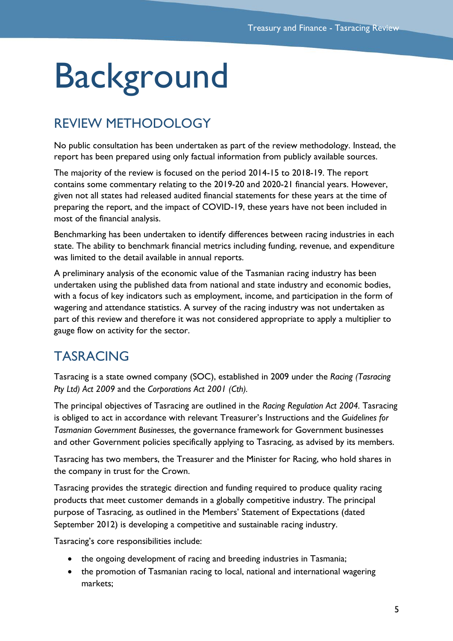## <span id="page-6-0"></span>**Background**

## <span id="page-6-1"></span>REVIEW METHODOLOGY

No public consultation has been undertaken as part of the review methodology. Instead, the report has been prepared using only factual information from publicly available sources.

The majority of the review is focused on the period 2014-15 to 2018-19. The report contains some commentary relating to the 2019-20 and 2020-21 financial years. However, given not all states had released audited financial statements for these years at the time of preparing the report, and the impact of COVID-19, these years have not been included in most of the financial analysis.

Benchmarking has been undertaken to identify differences between racing industries in each state. The ability to benchmark financial metrics including funding, revenue, and expenditure was limited to the detail available in annual reports.

A preliminary analysis of the economic value of the Tasmanian racing industry has been undertaken using the published data from national and state industry and economic bodies, with a focus of key indicators such as employment, income, and participation in the form of wagering and attendance statistics. A survey of the racing industry was not undertaken as part of this review and therefore it was not considered appropriate to apply a multiplier to gauge flow on activity for the sector.

## <span id="page-6-2"></span>TASRACING

Tasracing is a state owned company (SOC), established in 2009 under the *Racing (Tasracing Pty Ltd) Act 2009* and the *Corporations Act 2001 (Cth).* 

The principal objectives of Tasracing are outlined in the *Racing Regulation Act 2004.* Tasracing is obliged to act in accordance with relevant Treasurer's Instructions and the *Guidelines for Tasmanian Government Businesses,* the governance framework for Government businesses and other Government policies specifically applying to Tasracing, as advised by its members.

Tasracing has two members, the Treasurer and the Minister for Racing, who hold shares in the company in trust for the Crown.

Tasracing provides the strategic direction and funding required to produce quality racing products that meet customer demands in a globally competitive industry. The principal purpose of Tasracing, as outlined in the Members' Statement of Expectations (dated September 2012) is developing a competitive and sustainable racing industry.

Tasracing's core responsibilities include:

- the ongoing development of racing and breeding industries in Tasmania;
- the promotion of Tasmanian racing to local, national and international wagering markets;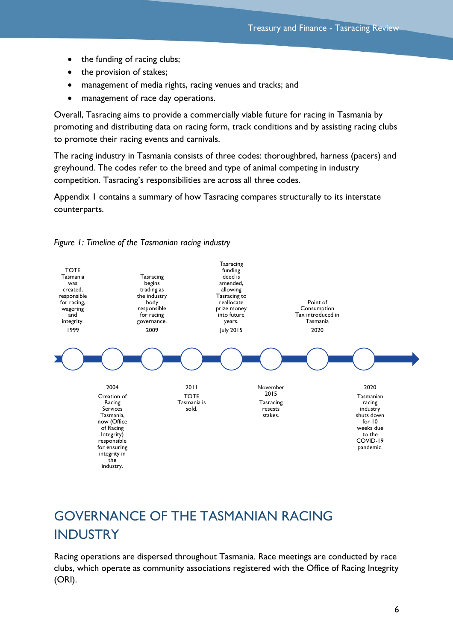- the funding of racing clubs;
- the provision of stakes;
- management of media rights, racing venues and tracks; and
- management of race day operations.

Overall, Tasracing aims to provide a commercially viable future for racing in Tasmania by promoting and distributing data on racing form, track conditions and by assisting racing clubs to promote their racing events and carnivals.

The racing industry in Tasmania consists of three codes: thoroughbred, harness (pacers) and greyhound. The codes refer to the breed and type of animal competing in industry competition. Tasracing's responsibilities are across all three codes.

Appendix 1 contains a summary of how Tasracing compares structurally to its interstate counterparts.



*Figure 1: Timeline of the Tasmanian racing industry*

## <span id="page-7-0"></span>GOVERNANCE OF THE TASMANIAN RACING INDUSTRY

Racing operations are dispersed throughout Tasmania. Race meetings are conducted by race clubs, which operate as community associations registered with the Office of Racing Integrity (ORI).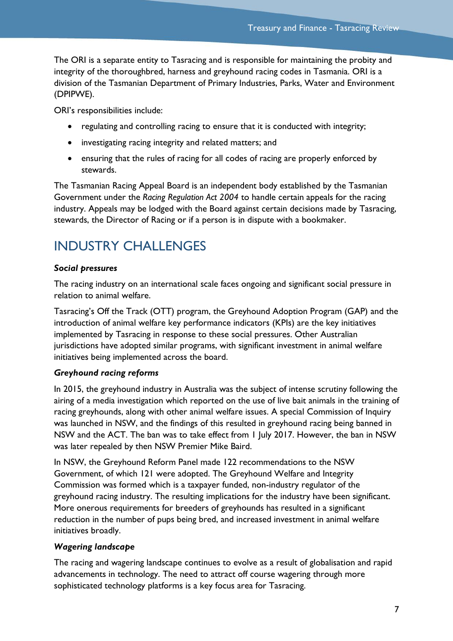The ORI is a separate entity to Tasracing and is responsible for maintaining the probity and integrity of the thoroughbred, harness and greyhound racing codes in Tasmania. ORI is a division of the Tasmanian Department of Primary Industries, Parks, Water and Environment (DPIPWE).

ORI's responsibilities include:

- regulating and controlling racing to ensure that it is conducted with integrity;
- investigating racing integrity and related matters; and
- ensuring that the rules of racing for all codes of racing are properly enforced by stewards.

The Tasmanian Racing Appeal Board is an independent body established by the Tasmanian Government under the *Racing Regulation Act 2004* to handle certain appeals for the racing industry. Appeals may be lodged with the Board against certain decisions made by Tasracing, stewards, the Director of Racing or if a person is in dispute with a bookmaker.

## <span id="page-8-0"></span>INDUSTRY CHALLENGES

### *Social pressures*

The racing industry on an international scale faces ongoing and significant social pressure in relation to animal welfare.

Tasracing's Off the Track (OTT) program, the Greyhound Adoption Program (GAP) and the introduction of animal welfare key performance indicators (KPIs) are the key initiatives implemented by Tasracing in response to these social pressures. Other Australian jurisdictions have adopted similar programs, with significant investment in animal welfare initiatives being implemented across the board.

## *Greyhound racing reforms*

In 2015, the greyhound industry in Australia was the subject of intense scrutiny following the airing of a media investigation which reported on the use of live bait animals in the training of racing greyhounds, along with other animal welfare issues. A special Commission of Inquiry was launched in NSW, and the findings of this resulted in greyhound racing being banned in NSW and the ACT. The ban was to take effect from 1 July 2017. However, the ban in NSW was later repealed by then NSW Premier Mike Baird.

In NSW, the Greyhound Reform Panel made 122 recommendations to the NSW Government, of which 121 were adopted. The Greyhound Welfare and Integrity Commission was formed which is a taxpayer funded, non-industry regulator of the greyhound racing industry. The resulting implications for the industry have been significant. More onerous requirements for breeders of greyhounds has resulted in a significant reduction in the number of pups being bred, and increased investment in animal welfare initiatives broadly.

#### *Wagering landscape*

The racing and wagering landscape continues to evolve as a result of globalisation and rapid advancements in technology. The need to attract off course wagering through more sophisticated technology platforms is a key focus area for Tasracing.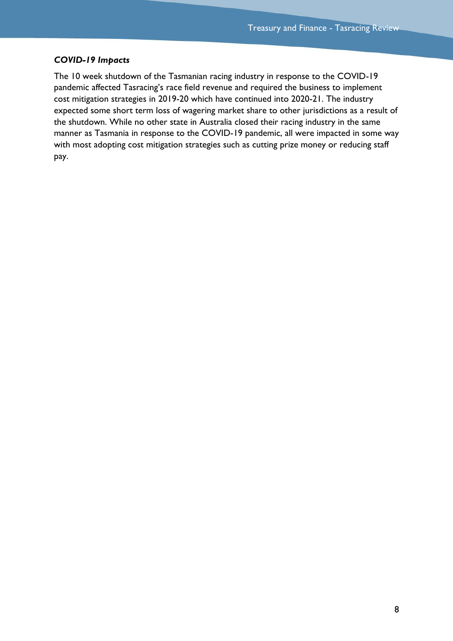#### *COVID-19 Impacts*

The 10 week shutdown of the Tasmanian racing industry in response to the COVID-19 pandemic affected Tasracing's race field revenue and required the business to implement cost mitigation strategies in 2019-20 which have continued into 2020-21. The industry expected some short term loss of wagering market share to other jurisdictions as a result of the shutdown. While no other state in Australia closed their racing industry in the same manner as Tasmania in response to the COVID-19 pandemic, all were impacted in some way with most adopting cost mitigation strategies such as cutting prize money or reducing staff pay.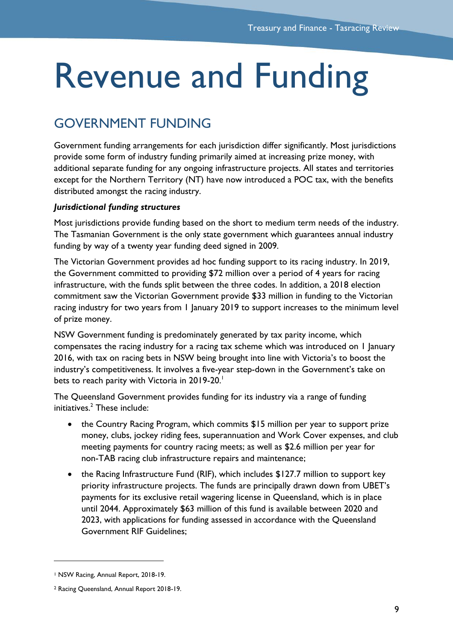## <span id="page-10-0"></span>Revenue and Funding

## <span id="page-10-1"></span>GOVERNMENT FUNDING

Government funding arrangements for each jurisdiction differ significantly. Most jurisdictions provide some form of industry funding primarily aimed at increasing prize money, with additional separate funding for any ongoing infrastructure projects. All states and territories except for the Northern Territory (NT) have now introduced a POC tax, with the benefits distributed amongst the racing industry.

## *Jurisdictional funding structures*

Most jurisdictions provide funding based on the short to medium term needs of the industry. The Tasmanian Government is the only state government which guarantees annual industry funding by way of a twenty year funding deed signed in 2009.

The Victorian Government provides ad hoc funding support to its racing industry. In 2019, the Government committed to providing \$72 million over a period of 4 years for racing infrastructure, with the funds split between the three codes. In addition, a 2018 election commitment saw the Victorian Government provide \$33 million in funding to the Victorian racing industry for two years from 1 January 2019 to support increases to the minimum level of prize money.

NSW Government funding is predominately generated by tax parity income, which compensates the racing industry for a racing tax scheme which was introduced on 1 January 2016, with tax on racing bets in NSW being brought into line with Victoria's to boost the industry's competitiveness. It involves a five-year step-down in the Government's take on bets to reach parity with Victoria in 2019-20.<sup>1</sup>

The Queensland Government provides funding for its industry via a range of funding initiatives. <sup>2</sup> These include:

- the Country Racing Program, which commits \$15 million per year to support prize money, clubs, jockey riding fees, superannuation and Work Cover expenses, and club meeting payments for country racing meets; as well as \$2.6 million per year for non-TAB racing club infrastructure repairs and maintenance;
- the Racing Infrastructure Fund (RIF), which includes \$127.7 million to support key priority infrastructure projects. The funds are principally drawn down from UBET's payments for its exclusive retail wagering license in Queensland, which is in place until 2044. Approximately \$63 million of this fund is available between 2020 and 2023, with applications for funding assessed in accordance with the Queensland Government RIF Guidelines;

<sup>1</sup> NSW Racing, Annual Report, 2018-19.

<sup>2</sup> Racing Queensland, Annual Report 2018-19.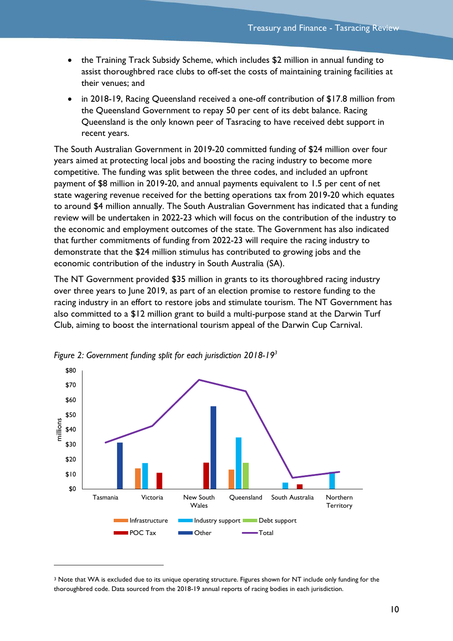- the Training Track Subsidy Scheme, which includes \$2 million in annual funding to assist thoroughbred race clubs to off-set the costs of maintaining training facilities at their venues; and
- in 2018-19, Racing Queensland received a one-off contribution of \$17.8 million from the Queensland Government to repay 50 per cent of its debt balance. Racing Queensland is the only known peer of Tasracing to have received debt support in recent years.

The South Australian Government in 2019-20 committed funding of \$24 million over four years aimed at protecting local jobs and boosting the racing industry to become more competitive. The funding was split between the three codes, and included an upfront payment of \$8 million in 2019-20, and annual payments equivalent to 1.5 per cent of net state wagering revenue received for the betting operations tax from 2019-20 which equates to around \$4 million annually. The South Australian Government has indicated that a funding review will be undertaken in 2022-23 which will focus on the contribution of the industry to the economic and employment outcomes of the state. The Government has also indicated that further commitments of funding from 2022-23 will require the racing industry to demonstrate that the \$24 million stimulus has contributed to growing jobs and the economic contribution of the industry in South Australia (SA).

The NT Government provided \$35 million in grants to its thoroughbred racing industry over three years to June 2019, as part of an election promise to restore funding to the racing industry in an effort to restore jobs and stimulate tourism. The NT Government has also committed to a \$12 million grant to build a multi-purpose stand at the Darwin Turf Club, aiming to boost the international tourism appeal of the Darwin Cup Carnival.



*Figure 2: Government funding split for each jurisdiction 2018-19<sup>3</sup>*

<sup>&</sup>lt;sup>3</sup> Note that WA is excluded due to its unique operating structure. Figures shown for NT include only funding for the thoroughbred code. Data sourced from the 2018-19 annual reports of racing bodies in each jurisdiction.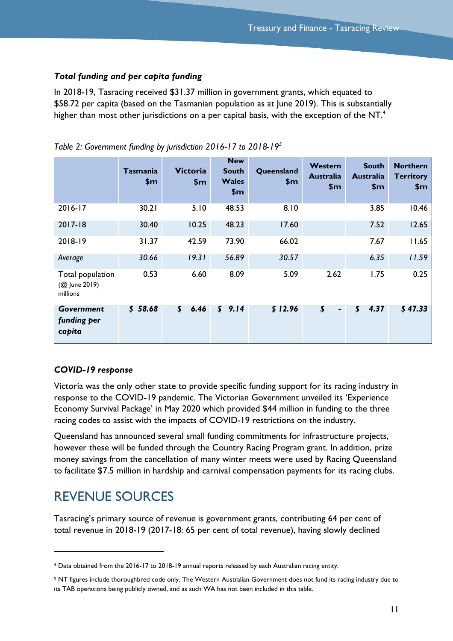### *Total funding and per capita funding*

In 2018-19, Tasracing received \$31.37 million in government grants, which equated to \$58.72 per capita (based on the Tasmanian population as at June 2019). This is substantially higher than most other jurisdictions on a per capital basis, with the exception of the NT. $^{\text{4}}$ 

|                                               | <b>Tasmania</b><br>\$m\$ | <b>Victoria</b><br>\$m            | <b>New</b><br><b>South</b><br><b>Wales</b><br>\$m | Queensland<br>\$m\$ | Western<br><b>Australia</b><br>\$m\$ | <b>South</b><br><b>Australia</b><br>\$m\$ | <b>Northern</b><br><b>Territory</b><br>\$m\$ |
|-----------------------------------------------|--------------------------|-----------------------------------|---------------------------------------------------|---------------------|--------------------------------------|-------------------------------------------|----------------------------------------------|
| 2016-17                                       | 30.21                    | 5.10                              | 48.53                                             | 8.10                |                                      | 3.85                                      | 10.46                                        |
| 2017-18                                       | 30.40                    | 10.25                             | 48.23                                             | 17.60               |                                      | 7.52                                      | 12.65                                        |
| 2018-19                                       | 31.37                    | 42.59                             | 73.90                                             | 66.02               |                                      | 7.67                                      | 11.65                                        |
| Average                                       | 30.66                    | 19.31                             | 56.89                                             | 30.57               |                                      | 6.35                                      | 11.59                                        |
| Total population<br>(@ June 2019)<br>millions | 0.53                     | 6.60                              | 8.09                                              | 5.09                | 2.62                                 | 1.75                                      | 0.25                                         |
| Government<br>funding per<br>capita           | \$58.68                  | 6.46<br>$\boldsymbol{\mathsf{s}}$ | \$9.14                                            | \$12.96             | \$<br>$\blacksquare$                 | 4.37<br>$\boldsymbol{\mathsf{S}}$         | \$47.33                                      |

*Table 2: Government funding by jurisdiction 2016-17 to 2018-19<sup>5</sup>*

## *COVID-19 response*

Victoria was the only other state to provide specific funding support for its racing industry in response to the COVID-19 pandemic. The Victorian Government unveiled its 'Experience Economy Survival Package' in May 2020 which provided \$44 million in funding to the three racing codes to assist with the impacts of COVID-19 restrictions on the industry.

Queensland has announced several small funding commitments for infrastructure projects, however these will be funded through the Country Racing Program grant. In addition, prize money savings from the cancellation of many winter meets were used by Racing Queensland to facilitate \$7.5 million in hardship and carnival compensation payments for its racing clubs.

## <span id="page-12-0"></span>REVENUE SOURCES

l

Tasracing's primary source of revenue is government grants, contributing 64 per cent of total revenue in 2018-19 (2017-18: 65 per cent of total revenue), having slowly declined

<sup>4</sup> Data obtained from the 2016-17 to 2018-19 annual reports released by each Australian racing entity.

<sup>&</sup>lt;sup>5</sup> NT figures include thoroughbred code only. The Western Australian Government does not fund its racing industry due to its TAB operations being publicly owned, and as such WA has not been included in this table.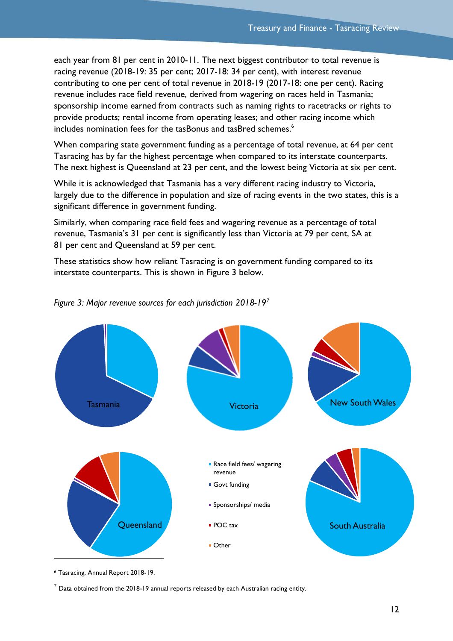each year from 81 per cent in 2010-11. The next biggest contributor to total revenue is racing revenue (2018-19: 35 per cent; 2017-18: 34 per cent), with interest revenue contributing to one per cent of total revenue in 2018-19 (2017-18: one per cent). Racing revenue includes race field revenue, derived from wagering on races held in Tasmania; sponsorship income earned from contracts such as naming rights to racetracks or rights to provide products; rental income from operating leases; and other racing income which includes nomination fees for the tasBonus and tasBred schemes. 6

When comparing state government funding as a percentage of total revenue, at 64 per cent Tasracing has by far the highest percentage when compared to its interstate counterparts. The next highest is Queensland at 23 per cent, and the lowest being Victoria at six per cent.

While it is acknowledged that Tasmania has a very different racing industry to Victoria, largely due to the difference in population and size of racing events in the two states, this is a significant difference in government funding.

Similarly, when comparing race field fees and wagering revenue as a percentage of total revenue, Tasmania's 31 per cent is significantly less than Victoria at 79 per cent, SA at 81 per cent and Queensland at 59 per cent.

These statistics show how reliant Tasracing is on government funding compared to its interstate counterparts. This is shown in [Figure 3](#page-13-0) below.



<span id="page-13-0"></span>

<sup>6</sup> Tasracing, Annual Report 2018-19.

 $7$  Data obtained from the 2018-19 annual reports released by each Australian racing entity.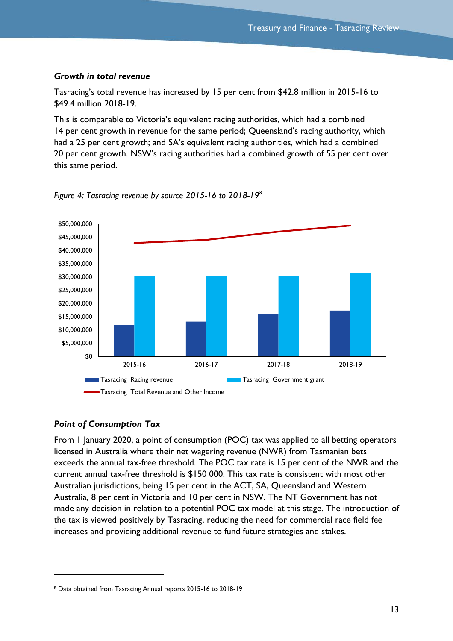#### *Growth in total revenue*

Tasracing's total revenue has increased by 15 per cent from \$42.8 million in 2015-16 to \$49.4 million 2018-19.

This is comparable to Victoria's equivalent racing authorities, which had a combined 14 per cent growth in revenue for the same period; Queensland's racing authority, which had a 25 per cent growth; and SA's equivalent racing authorities, which had a combined 20 per cent growth. NSW's racing authorities had a combined growth of 55 per cent over this same period.



*Figure 4: Tasracing revenue by source 2015-16 to 2018-19<sup>8</sup>*

## *Point of Consumption Tax*

 $\overline{a}$ 

From 1 January 2020, a point of consumption (POC) tax was applied to all betting operators licensed in Australia where their net wagering revenue (NWR) from Tasmanian bets exceeds the annual tax-free threshold. The POC tax rate is 15 per cent of the NWR and the current annual tax-free threshold is \$150 000. This tax rate is consistent with most other Australian jurisdictions, being 15 per cent in the ACT, SA, Queensland and Western Australia, 8 per cent in Victoria and 10 per cent in NSW. The NT Government has not made any decision in relation to a potential POC tax model at this stage. The introduction of the tax is viewed positively by Tasracing, reducing the need for commercial race field fee increases and providing additional revenue to fund future strategies and stakes.

<sup>8</sup> Data obtained from Tasracing Annual reports 2015-16 to 2018-19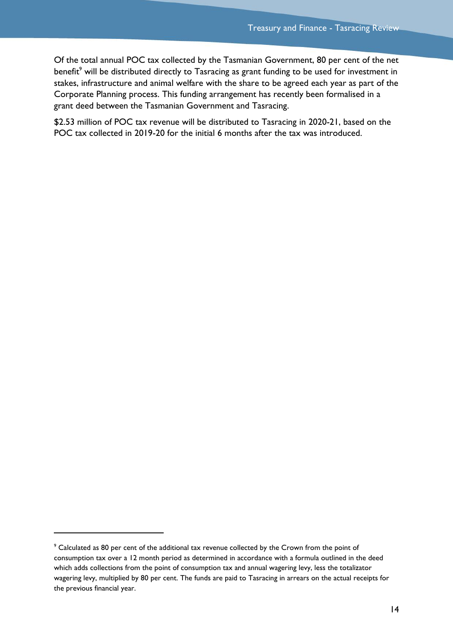Of the total annual POC tax collected by the Tasmanian Government, 80 per cent of the net benefit<sup>9</sup> will be distributed directly to Tasracing as grant funding to be used for investment in stakes, infrastructure and animal welfare with the share to be agreed each year as part of the Corporate Planning process. This funding arrangement has recently been formalised in a grant deed between the Tasmanian Government and Tasracing.

\$2.53 million of POC tax revenue will be distributed to Tasracing in 2020-21, based on the POC tax collected in 2019-20 for the initial 6 months after the tax was introduced.

 $\overline{a}$ 

<sup>&</sup>lt;sup>9</sup> Calculated as 80 per cent of the additional tax revenue collected by the Crown from the point of consumption tax over a 12 month period as determined in accordance with a formula outlined in the deed which adds collections from the point of consumption tax and annual wagering levy, less the totalizator wagering levy, multiplied by 80 per cent. The funds are paid to Tasracing in arrears on the actual receipts for the previous financial year.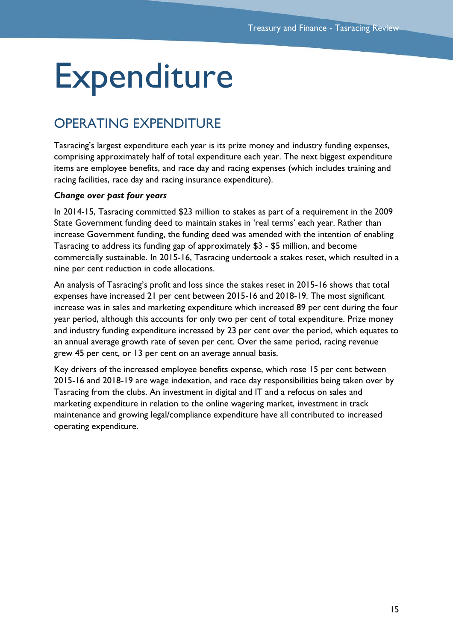## <span id="page-16-0"></span>**Expenditure**

## <span id="page-16-1"></span>OPERATING EXPENDITURE

Tasracing's largest expenditure each year is its prize money and industry funding expenses, comprising approximately half of total expenditure each year. The next biggest expenditure items are employee benefits, and race day and racing expenses (which includes training and racing facilities, race day and racing insurance expenditure).

## *Change over past four years*

In 2014-15, Tasracing committed \$23 million to stakes as part of a requirement in the 2009 State Government funding deed to maintain stakes in 'real terms' each year. Rather than increase Government funding, the funding deed was amended with the intention of enabling Tasracing to address its funding gap of approximately \$3 - \$5 million, and become commercially sustainable. In 2015-16, Tasracing undertook a stakes reset, which resulted in a nine per cent reduction in code allocations.

An analysis of Tasracing's profit and loss since the stakes reset in 2015-16 shows that total expenses have increased 21 per cent between 2015-16 and 2018-19. The most significant increase was in sales and marketing expenditure which increased 89 per cent during the four year period, although this accounts for only two per cent of total expenditure. Prize money and industry funding expenditure increased by 23 per cent over the period, which equates to an annual average growth rate of seven per cent. Over the same period, racing revenue grew 45 per cent, or 13 per cent on an average annual basis.

Key drivers of the increased employee benefits expense, which rose 15 per cent between 2015-16 and 2018-19 are wage indexation, and race day responsibilities being taken over by Tasracing from the clubs. An investment in digital and IT and a refocus on sales and marketing expenditure in relation to the online wagering market, investment in track maintenance and growing legal/compliance expenditure have all contributed to increased operating expenditure.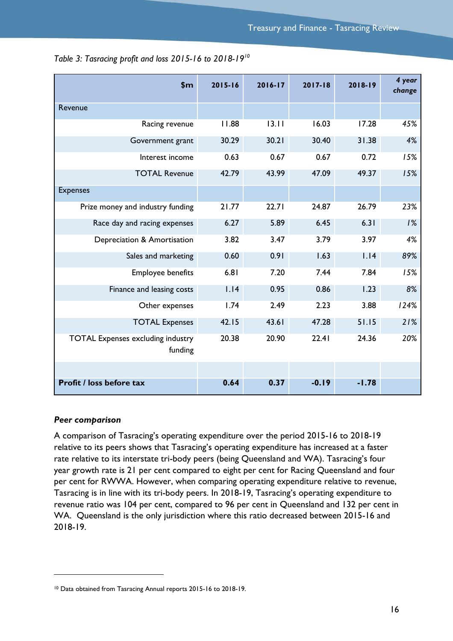| \$m                                                 | 2015-16 | $2016 - 17$ | $2017 - 18$ | 2018-19 | 4 year<br>change |
|-----------------------------------------------------|---------|-------------|-------------|---------|------------------|
| Revenue                                             |         |             |             |         |                  |
| Racing revenue                                      | 11.88   | 13.11       | 16.03       | 17.28   | 45%              |
| Government grant                                    | 30.29   | 30.21       | 30.40       | 31.38   | 4%               |
| Interest income                                     | 0.63    | 0.67        | 0.67        | 0.72    | 15%              |
| <b>TOTAL Revenue</b>                                | 42.79   | 43.99       | 47.09       | 49.37   | 15%              |
| <b>Expenses</b>                                     |         |             |             |         |                  |
| Prize money and industry funding                    | 21.77   | 22.71       | 24.87       | 26.79   | 23%              |
| Race day and racing expenses                        | 6.27    | 5.89        | 6.45        | 6.31    | 1%               |
| Depreciation & Amortisation                         | 3.82    | 3.47        | 3.79        | 3.97    | 4%               |
| Sales and marketing                                 | 0.60    | 0.91        | 1.63        | 1.14    | 89%              |
| <b>Employee benefits</b>                            | 6.81    | 7.20        | 7.44        | 7.84    | 15%              |
| Finance and leasing costs                           | 1.14    | 0.95        | 0.86        | 1.23    | 8%               |
| Other expenses                                      | 1.74    | 2.49        | 2.23        | 3.88    | 124%             |
| <b>TOTAL Expenses</b>                               | 42.15   | 43.61       | 47.28       | 51.15   | 21%              |
| <b>TOTAL Expenses excluding industry</b><br>funding | 20.38   | 20.90       | 22.41       | 24.36   | 20%              |
|                                                     |         |             |             |         |                  |
| <b>Profit / loss before tax</b>                     | 0.64    | 0.37        | $-0.19$     | $-1.78$ |                  |

*Table 3: Tasracing profit and loss 2015-16 to 2018-19<sup>10</sup>*

#### *Peer comparison*

 $\overline{a}$ 

A comparison of Tasracing's operating expenditure over the period 2015-16 to 2018-19 relative to its peers shows that Tasracing's operating expenditure has increased at a faster rate relative to its interstate tri-body peers (being Queensland and WA). Tasracing's four year growth rate is 21 per cent compared to eight per cent for Racing Queensland and four per cent for RWWA. However, when comparing operating expenditure relative to revenue, Tasracing is in line with its tri-body peers. In 2018-19, Tasracing's operating expenditure to revenue ratio was 104 per cent, compared to 96 per cent in Queensland and 132 per cent in WA. Queensland is the only jurisdiction where this ratio decreased between 2015-16 and 2018-19.

<sup>10</sup> Data obtained from Tasracing Annual reports 2015-16 to 2018-19.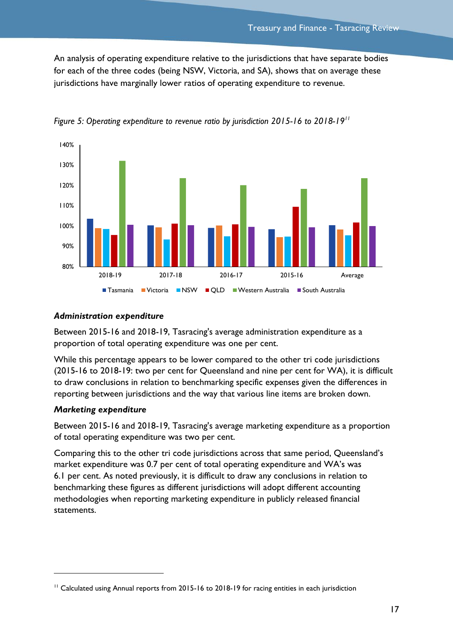An analysis of operating expenditure relative to the jurisdictions that have separate bodies for each of the three codes (being NSW, Victoria, and SA), shows that on average these jurisdictions have marginally lower ratios of operating expenditure to revenue.



*Figure 5: Operating expenditure to revenue ratio by jurisdiction 2015-16 to 2018-19<sup>11</sup>*

### *Administration expenditure*

Between 2015-16 and 2018-19, Tasracing's average administration expenditure as a proportion of total operating expenditure was one per cent.

While this percentage appears to be lower compared to the other tri code jurisdictions (2015-16 to 2018-19: two per cent for Queensland and nine per cent for WA), it is difficult to draw conclusions in relation to benchmarking specific expenses given the differences in reporting between jurisdictions and the way that various line items are broken down.

## *Marketing expenditure*

 $\overline{a}$ 

Between 2015-16 and 2018-19, Tasracing's average marketing expenditure as a proportion of total operating expenditure was two per cent.

Comparing this to the other tri code jurisdictions across that same period, Queensland's market expenditure was 0.7 per cent of total operating expenditure and WA's was 6.1 per cent. As noted previously, it is difficult to draw any conclusions in relation to benchmarking these figures as different jurisdictions will adopt different accounting methodologies when reporting marketing expenditure in publicly released financial statements.

<sup>&</sup>lt;sup>11</sup> Calculated using Annual reports from 2015-16 to 2018-19 for racing entities in each jurisdiction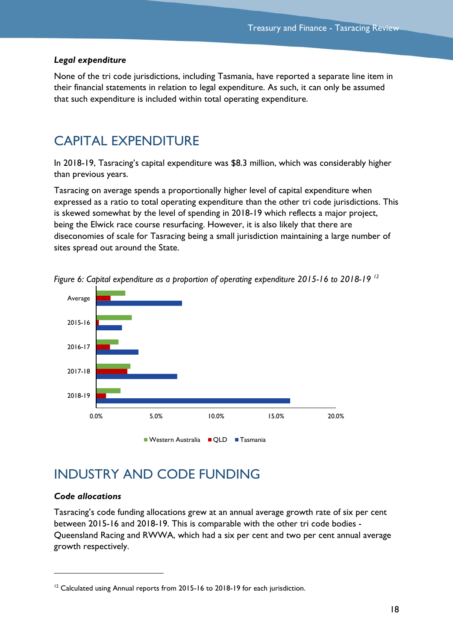#### *Legal expenditure*

None of the tri code jurisdictions, including Tasmania, have reported a separate line item in their financial statements in relation to legal expenditure. As such, it can only be assumed that such expenditure is included within total operating expenditure.

## <span id="page-19-0"></span>CAPITAL EXPENDITURE

In 2018-19, Tasracing's capital expenditure was \$8.3 million, which was considerably higher than previous years.

Tasracing on average spends a proportionally higher level of capital expenditure when expressed as a ratio to total operating expenditure than the other tri code jurisdictions. This is skewed somewhat by the level of spending in 2018-19 which reflects a major project, being the Elwick race course resurfacing. However, it is also likely that there are diseconomies of scale for Tasracing being a small jurisdiction maintaining a large number of sites spread out around the State.



*Figure 6: Capital expenditure as a proportion of operating expenditure 2015-16 to 2018-19 <sup>12</sup>*

## <span id="page-19-1"></span>INDUSTRY AND CODE FUNDING

### *Code allocations*

 $\overline{a}$ 

Tasracing's code funding allocations grew at an annual average growth rate of six per cent between 2015-16 and 2018-19. This is comparable with the other tri code bodies - Queensland Racing and RWWA, which had a six per cent and two per cent annual average growth respectively.

 $12$  Calculated using Annual reports from 2015-16 to 2018-19 for each jurisdiction.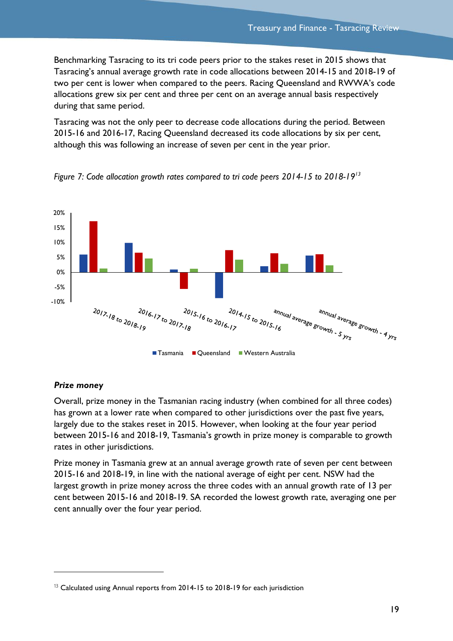Benchmarking Tasracing to its tri code peers prior to the stakes reset in 2015 shows that Tasracing's annual average growth rate in code allocations between 2014-15 and 2018-19 of two per cent is lower when compared to the peers. Racing Queensland and RWWA's code allocations grew six per cent and three per cent on an average annual basis respectively during that same period.

Tasracing was not the only peer to decrease code allocations during the period. Between 2015-16 and 2016-17, Racing Queensland decreased its code allocations by six per cent, although this was following an increase of seven per cent in the year prior.





#### *Prize money*

 $\overline{a}$ 

Overall, prize money in the Tasmanian racing industry (when combined for all three codes) has grown at a lower rate when compared to other jurisdictions over the past five years, largely due to the stakes reset in 2015. However, when looking at the four year period between 2015-16 and 2018-19, Tasmania's growth in prize money is comparable to growth rates in other jurisdictions.

Prize money in Tasmania grew at an annual average growth rate of seven per cent between 2015-16 and 2018-19, in line with the national average of eight per cent. NSW had the largest growth in prize money across the three codes with an annual growth rate of 13 per cent between 2015-16 and 2018-19. SA recorded the lowest growth rate, averaging one per cent annually over the four year period.

<sup>&</sup>lt;sup>13</sup> Calculated using Annual reports from 2014-15 to 2018-19 for each jurisdiction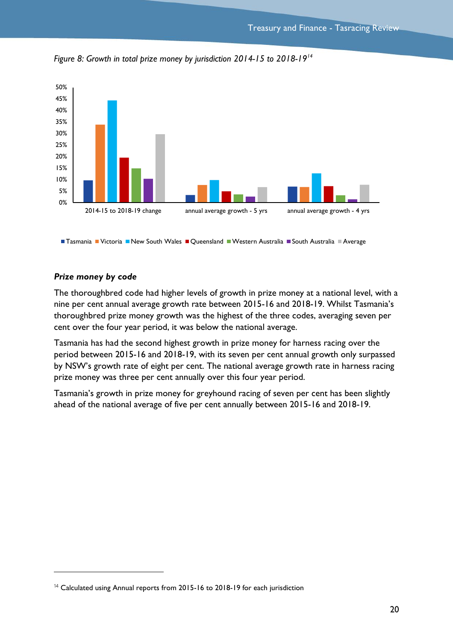

*Figure 8: Growth in total prize money by jurisdiction 2014-15 to 2018-19<sup>14</sup>*

■ Tasmania ■ Victoria ■ New South Wales ■ Queensland ■ Western Australia ■ South Australia ■ Average

#### *Prize money by code*

 $\overline{a}$ 

The thoroughbred code had higher levels of growth in prize money at a national level, with a nine per cent annual average growth rate between 2015-16 and 2018-19. Whilst Tasmania's thoroughbred prize money growth was the highest of the three codes, averaging seven per cent over the four year period, it was below the national average.

Tasmania has had the second highest growth in prize money for harness racing over the period between 2015-16 and 2018-19, with its seven per cent annual growth only surpassed by NSW's growth rate of eight per cent. The national average growth rate in harness racing prize money was three per cent annually over this four year period.

Tasmania's growth in prize money for greyhound racing of seven per cent has been slightly ahead of the national average of five per cent annually between 2015-16 and 2018-19.

<sup>&</sup>lt;sup>14</sup> Calculated using Annual reports from 2015-16 to 2018-19 for each jurisdiction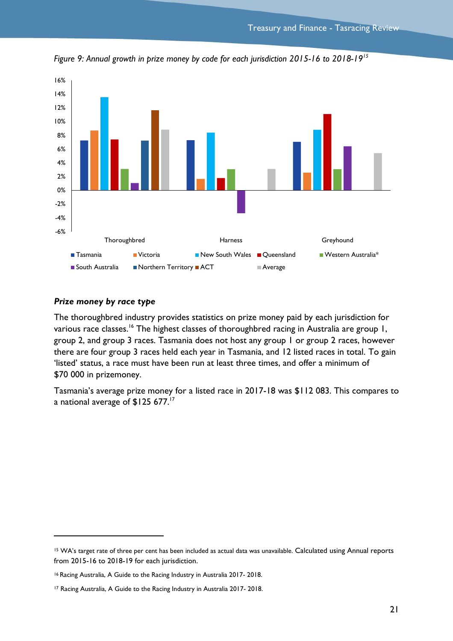

*Figure 9: Annual growth in prize money by code for each jurisdiction 2015-16 to 2018-19<sup>15</sup>*

#### *Prize money by race type*

l

The thoroughbred industry provides statistics on prize money paid by each jurisdiction for various race classes.<sup>16</sup> The highest classes of thoroughbred racing in Australia are group 1, group 2, and group 3 races. Tasmania does not host any group 1 or group 2 races, however there are four group 3 races held each year in Tasmania, and 12 listed races in total. To gain 'listed' status, a race must have been run at least three times, and offer a minimum of \$70 000 in prizemoney.

Tasmania's average prize money for a listed race in 2017-18 was \$112 083. This compares to a national average of \$125 677.<sup>17</sup>

<sup>15</sup> WA's target rate of three per cent has been included as actual data was unavailable. Calculated using Annual reports from 2015-16 to 2018-19 for each jurisdiction.

<sup>16</sup> Racing Australia, A Guide to the Racing Industry in Australia 2017- 2018.

<sup>17</sup> Racing Australia, A Guide to the Racing Industry in Australia 2017- 2018.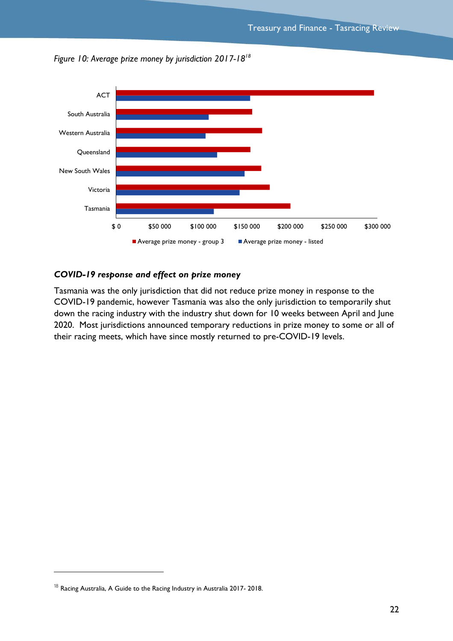



### *COVID-19 response and effect on prize money*

Tasmania was the only jurisdiction that did not reduce prize money in response to the COVID-19 pandemic, however Tasmania was also the only jurisdiction to temporarily shut down the racing industry with the industry shut down for 10 weeks between April and June 2020. Most jurisdictions announced temporary reductions in prize money to some or all of their racing meets, which have since mostly returned to pre-COVID-19 levels.

 $\overline{a}$ 

 $^{18}$  Racing Australia, A Guide to the Racing Industry in Australia 2017-2018.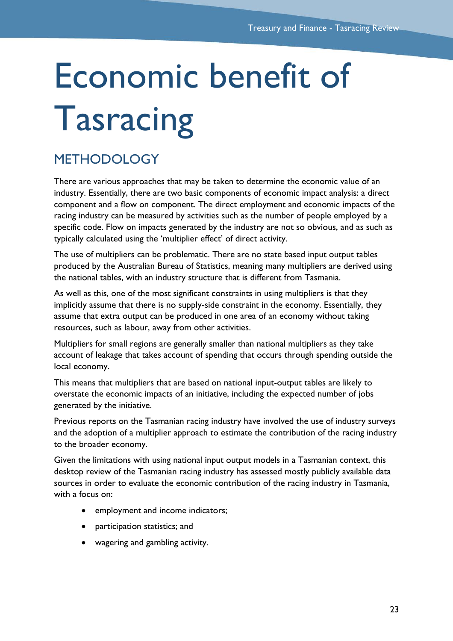# <span id="page-24-0"></span>Economic benefit of Tasracing

## <span id="page-24-1"></span>METHODOLOGY

There are various approaches that may be taken to determine the economic value of an industry. Essentially, there are two basic components of economic impact analysis: a direct component and a flow on component. The direct employment and economic impacts of the racing industry can be measured by activities such as the number of people employed by a specific code. Flow on impacts generated by the industry are not so obvious, and as such as typically calculated using the 'multiplier effect' of direct activity.

The use of multipliers can be problematic. There are no state based input output tables produced by the Australian Bureau of Statistics, meaning many multipliers are derived using the national tables, with an industry structure that is different from Tasmania.

As well as this, one of the most significant constraints in using multipliers is that they implicitly assume that there is no supply-side constraint in the economy. Essentially, they assume that extra output can be produced in one area of an economy without taking resources, such as labour, away from other activities.

Multipliers for small regions are generally smaller than national multipliers as they take account of leakage that takes account of spending that occurs through spending outside the local economy.

This means that multipliers that are based on national input-output tables are likely to overstate the economic impacts of an initiative, including the expected number of jobs generated by the initiative.

Previous reports on the Tasmanian racing industry have involved the use of industry surveys and the adoption of a multiplier approach to estimate the contribution of the racing industry to the broader economy.

Given the limitations with using national input output models in a Tasmanian context, this desktop review of the Tasmanian racing industry has assessed mostly publicly available data sources in order to evaluate the economic contribution of the racing industry in Tasmania, with a focus on:

- employment and income indicators;
- participation statistics; and
- wagering and gambling activity.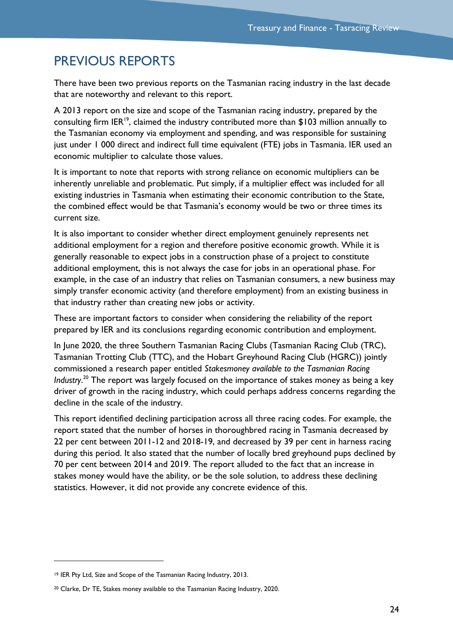## <span id="page-25-0"></span>PREVIOUS REPORTS

There have been two previous reports on the Tasmanian racing industry in the last decade that are noteworthy and relevant to this report.

A 2013 report on the size and scope of the Tasmanian racing industry, prepared by the consulting firm IER<sup>19</sup>, claimed the industry contributed more than \$103 million annually to the Tasmanian economy via employment and spending, and was responsible for sustaining just under 1 000 direct and indirect full time equivalent (FTE) jobs in Tasmania. IER used an economic multiplier to calculate those values.

It is important to note that reports with strong reliance on economic multipliers can be inherently unreliable and problematic. Put simply, if a multiplier effect was included for all existing industries in Tasmania when estimating their economic contribution to the State, the combined effect would be that Tasmania's economy would be two or three times its current size.

It is also important to consider whether direct employment genuinely represents net additional employment for a region and therefore positive economic growth. While it is generally reasonable to expect jobs in a construction phase of a project to constitute additional employment, this is not always the case for jobs in an operational phase. For example, in the case of an industry that relies on Tasmanian consumers, a new business may simply transfer economic activity (and therefore employment) from an existing business in that industry rather than creating new jobs or activity.

These are important factors to consider when considering the reliability of the report prepared by IER and its conclusions regarding economic contribution and employment.

In June 2020, the three Southern Tasmanian Racing Clubs (Tasmanian Racing Club (TRC), Tasmanian Trotting Club (TTC), and the Hobart Greyhound Racing Club (HGRC)) jointly commissioned a research paper entitled *Stakesmoney available to the Tasmanian Racing Industry*. <sup>20</sup> The report was largely focused on the importance of stakes money as being a key driver of growth in the racing industry, which could perhaps address concerns regarding the decline in the scale of the industry.

This report identified declining participation across all three racing codes. For example, the report stated that the number of horses in thoroughbred racing in Tasmania decreased by 22 per cent between 2011-12 and 2018-19, and decreased by 39 per cent in harness racing during this period. It also stated that the number of locally bred greyhound pups declined by 70 per cent between 2014 and 2019. The report alluded to the fact that an increase in stakes money would have the ability, or be the sole solution, to address these declining statistics. However, it did not provide any concrete evidence of this.

<sup>19</sup> IER Pty Ltd, Size and Scope of the Tasmanian Racing Industry, 2013.

<sup>20</sup> Clarke, Dr TE, Stakes money available to the Tasmanian Racing Industry, 2020.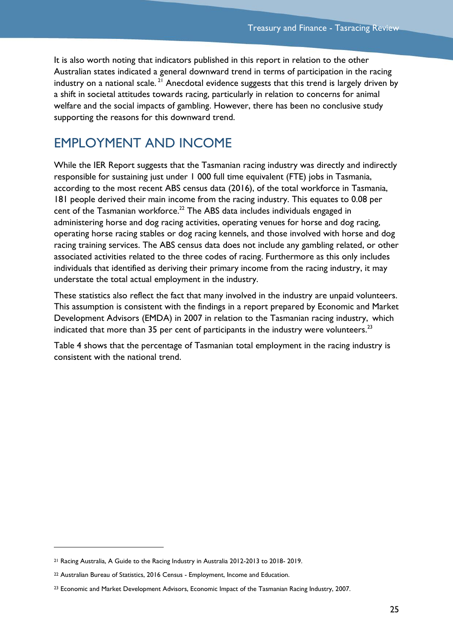It is also worth noting that indicators published in this report in relation to the other Australian states indicated a general downward trend in terms of participation in the racing industry on a national scale.<sup>21</sup> Anecdotal evidence suggests that this trend is largely driven by a shift in societal attitudes towards racing, particularly in relation to concerns for animal welfare and the social impacts of gambling. However, there has been no conclusive study supporting the reasons for this downward trend.

## <span id="page-26-0"></span>EMPLOYMENT AND INCOME

While the IER Report suggests that the Tasmanian racing industry was directly and indirectly responsible for sustaining just under 1 000 full time equivalent (FTE) jobs in Tasmania, according to the most recent ABS census data (2016), of the total workforce in Tasmania, 181 people derived their main income from the racing industry. This equates to 0.08 per cent of the Tasmanian workforce. <sup>22</sup> The ABS data includes individuals engaged in administering horse and dog racing activities, operating venues for horse and dog racing, operating horse racing stables or dog racing kennels, and those involved with horse and dog racing training services. The ABS census data does not include any gambling related, or other associated activities related to the three codes of racing. Furthermore as this only includes individuals that identified as deriving their primary income from the racing industry, it may understate the total actual employment in the industry.

These statistics also reflect the fact that many involved in the industry are unpaid volunteers. This assumption is consistent with the findings in a report prepared by Economic and Market Development Advisors (EMDA) in 2007 in relation to the Tasmanian racing industry, which indicated that more than 35 per cent of participants in the industry were volunteers.<sup>23</sup>

Table 4 shows that the percentage of Tasmanian total employment in the racing industry is consistent with the national trend.

<sup>21</sup> Racing Australia, A Guide to the Racing Industry in Australia 2012-2013 to 2018- 2019.

<sup>22</sup> Australian Bureau of Statistics, 2016 Census - Employment, Income and Education.

<sup>&</sup>lt;sup>23</sup> Economic and Market Development Advisors, Economic Impact of the Tasmanian Racing Industry, 2007.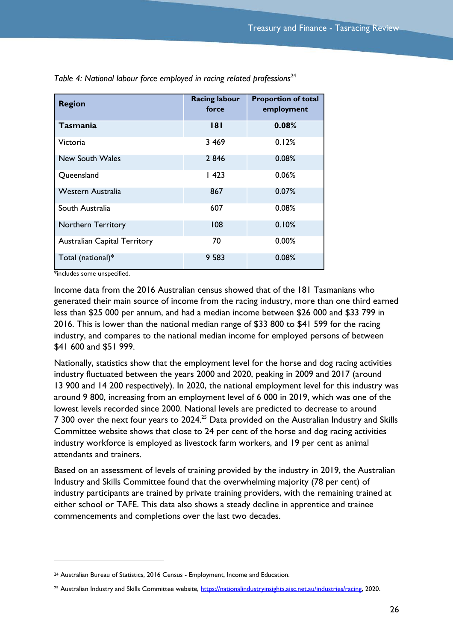| <b>Region</b>                       | <b>Racing labour</b><br>force | <b>Proportion of total</b><br>employment |
|-------------------------------------|-------------------------------|------------------------------------------|
| Tasmania                            | 8                             | 0.08%                                    |
| Victoria                            | 3 4 6 9                       | 0.12%                                    |
| New South Wales                     | 2846                          | 0.08%                                    |
| Queensland                          | 1423                          | 0.06%                                    |
| Western Australia                   | 867                           | 0.07%                                    |
| South Australia                     | 607                           | 0.08%                                    |
| <b>Northern Territory</b>           | 108                           | 0.10%                                    |
| <b>Australian Capital Territory</b> | 70                            | 0.00%                                    |
| Total (national)*                   | 9 5 8 3                       | 0.08%                                    |

Table 4: National labour force employed in racing related professions<sup>24</sup>

\*includes some unspecified.

l

Income data from the 2016 Australian census showed that of the 181 Tasmanians who generated their main source of income from the racing industry, more than one third earned less than \$25 000 per annum, and had a median income between \$26 000 and \$33 799 in 2016. This is lower than the national median range of \$33 800 to \$41 599 for the racing industry, and compares to the national median income for employed persons of between \$41 600 and \$51 999.

Nationally, statistics show that the employment level for the horse and dog racing activities industry fluctuated between the years 2000 and 2020, peaking in 2009 and 2017 (around 13 900 and 14 200 respectively). In 2020, the national employment level for this industry was around 9 800, increasing from an employment level of 6 000 in 2019, which was one of the lowest levels recorded since 2000. National levels are predicted to decrease to around 7 300 over the next four years to 2024.<sup>25</sup> Data provided on the Australian Industry and Skills Committee website shows that close to 24 per cent of the horse and dog racing activities industry workforce is employed as livestock farm workers, and 19 per cent as animal attendants and trainers.

Based on an assessment of levels of training provided by the industry in 2019, the Australian Industry and Skills Committee found that the overwhelming majority (78 per cent) of industry participants are trained by private training providers, with the remaining trained at either school or TAFE. This data also shows a steady decline in apprentice and trainee commencements and completions over the last two decades.

<sup>24</sup> Australian Bureau of Statistics, 2016 Census - Employment, Income and Education.

<sup>&</sup>lt;sup>25</sup> Australian Industry and Skills Committee website, [https://nationalindustryinsights.aisc.net.au/industries/racing,](https://nationalindustryinsights.aisc.net.au/industries/racing) 2020.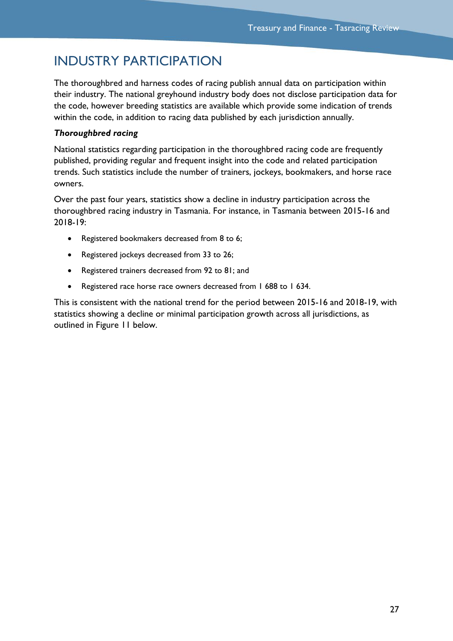## <span id="page-28-0"></span>INDUSTRY PARTICIPATION

The thoroughbred and harness codes of racing publish annual data on participation within their industry. The national greyhound industry body does not disclose participation data for the code, however breeding statistics are available which provide some indication of trends within the code, in addition to racing data published by each jurisdiction annually.

### *Thoroughbred racing*

National statistics regarding participation in the thoroughbred racing code are frequently published, providing regular and frequent insight into the code and related participation trends. Such statistics include the number of trainers, jockeys, bookmakers, and horse race owners.

Over the past four years, statistics show a decline in industry participation across the thoroughbred racing industry in Tasmania. For instance, in Tasmania between 2015-16 and 2018-19:

- Registered bookmakers decreased from 8 to 6;
- Registered jockeys decreased from 33 to 26;
- Registered trainers decreased from 92 to 81; and
- Registered race horse race owners decreased from 1 688 to 1 634.

This is consistent with the national trend for the period between 2015-16 and 2018-19, with statistics showing a decline or minimal participation growth across all jurisdictions, as outlined in [Figure 11](#page-29-0) below.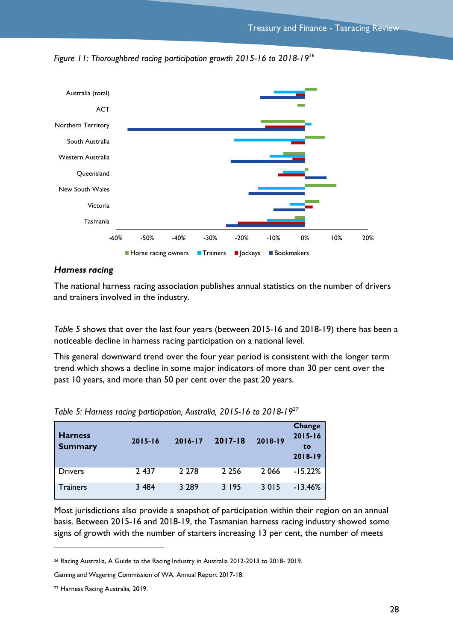

<span id="page-29-0"></span>*Figure 11: Thoroughbred racing participation growth 2015-16 to 2018-19*<sup>26</sup>

### *Harness racing*

The national harness racing association publishes annual statistics on the number of drivers and trainers involved in the industry.

*[Table 5](#page-29-1)* shows that over the last four years (between 2015-16 and 2018-19) there has been a noticeable decline in harness racing participation on a national level.

<span id="page-29-1"></span>This general downward trend over the four year period is consistent with the longer term trend which shows a decline in some major indicators of more than 30 per cent over the past 10 years, and more than 50 per cent over the past 20 years.

| <b>Harness</b><br><b>Summary</b> | 2015-16 | $2016 - 17$ | $2017 - 18$ | 2018-19 | <b>Change</b><br>$2015 - 16$<br>to<br>2018-19 |
|----------------------------------|---------|-------------|-------------|---------|-----------------------------------------------|
| <b>Drivers</b>                   | 2 4 3 7 | 2 2 7 8     | 2 2 5 6     | 2 0 6 6 | $-15.22%$                                     |
| Trainers                         | 3 4 8 4 | 3 2 8 9     | 3 195       | 3015    | $-13.46%$                                     |

*Table 5: Harness racing participation, Australia, 2015-16 to 2018-19<sup>27</sup>*

Most jurisdictions also provide a snapshot of participation within their region on an annual basis. Between 2015-16 and 2018-19, the Tasmanian harness racing industry showed some signs of growth with the number of starters increasing 13 per cent, the number of meets

<sup>26</sup> Racing Australia, A Guide to the Racing Industry in Australia 2012-2013 to 2018- 2019.

Gaming and Wagering Commission of WA. Annual Report 2017-18.

<sup>27</sup> Harness Racing Australia, 2019.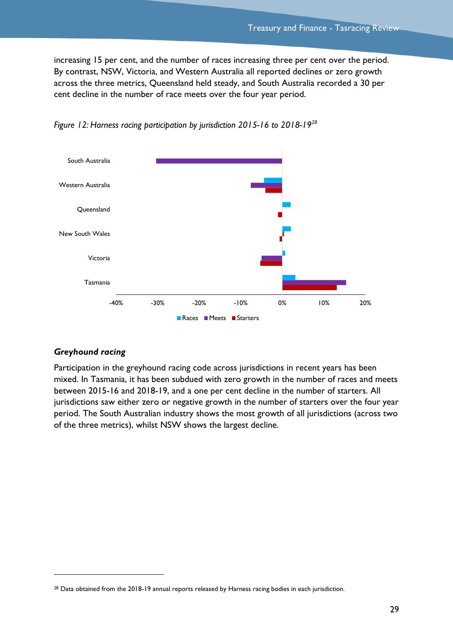increasing 15 per cent, and the number of races increasing three per cent over the period. By contrast, NSW, Victoria, and Western Australia all reported declines or zero growth across the three metrics, Queensland held steady, and South Australia recorded a 30 per cent decline in the number of race meets over the four year period.





## *Greyhound racing*

 $\overline{a}$ 

Participation in the greyhound racing code across jurisdictions in recent years has been mixed. In Tasmania, it has been subdued with zero growth in the number of races and meets between 2015-16 and 2018-19, and a one per cent decline in the number of starters. All jurisdictions saw either zero or negative growth in the number of starters over the four year period. The South Australian industry shows the most growth of all jurisdictions (across two of the three metrics), whilst NSW shows the largest decline.

<sup>&</sup>lt;sup>28</sup> Data obtained from the 2018-19 annual reports released by Harness racing bodies in each jurisdiction.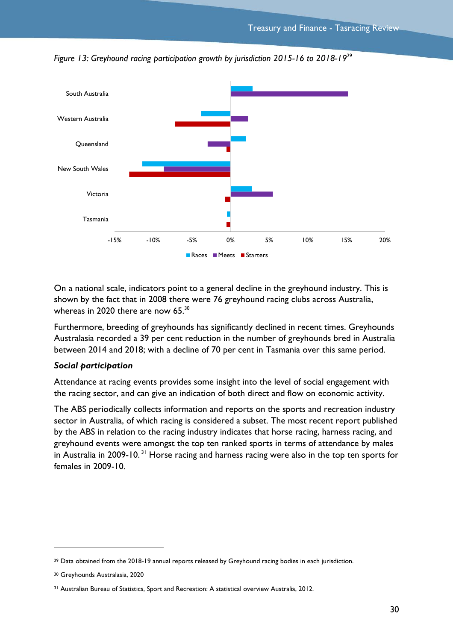

*Figure 13: Greyhound racing participation growth by jurisdiction 2015-16 to 2018-19*<sup>29</sup>

On a national scale, indicators point to a general decline in the greyhound industry. This is shown by the fact that in 2008 there were 76 greyhound racing clubs across Australia, whereas in 2020 there are now 65. $^{\rm 30}$ 

Furthermore, breeding of greyhounds has significantly declined in recent times. Greyhounds Australasia recorded a 39 per cent reduction in the number of greyhounds bred in Australia between 2014 and 2018; with a decline of 70 per cent in Tasmania over this same period.

#### *Social participation*

Attendance at racing events provides some insight into the level of social engagement with the racing sector, and can give an indication of both direct and flow on economic activity.

The ABS periodically collects information and reports on the sports and recreation industry sector in Australia, of which racing is considered a subset. The most recent report published by the ABS in relation to the racing industry indicates that horse racing, harness racing, and greyhound events were amongst the top ten ranked sports in terms of attendance by males in Australia in 2009-10.<sup>31</sup> Horse racing and harness racing were also in the top ten sports for females in 2009-10.

<sup>&</sup>lt;sup>29</sup> Data obtained from the 2018-19 annual reports released by Greyhound racing bodies in each jurisdiction.

<sup>30</sup> Greyhounds Australasia, 2020

<sup>31</sup> Australian Bureau of Statistics, Sport and Recreation: A statistical overview Australia, 2012.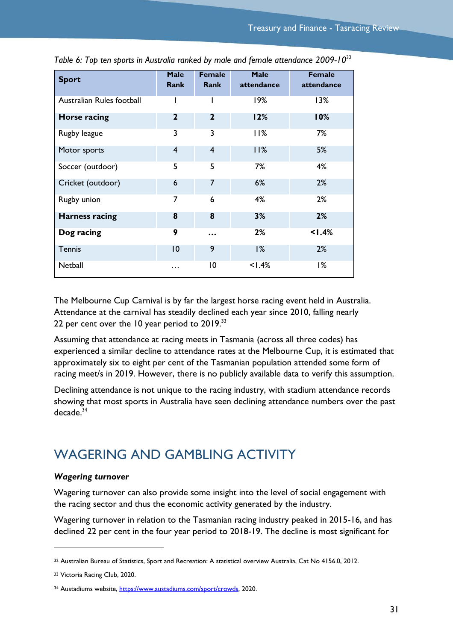| <b>Sport</b>              | <b>Male</b><br><b>Rank</b> | <b>Female</b><br>Rank | <b>Male</b><br>attendance | <b>Female</b><br>attendance |
|---------------------------|----------------------------|-----------------------|---------------------------|-----------------------------|
| Australian Rules football | ı                          |                       | 19%                       | 13%                         |
| Horse racing              | $\mathbf{2}$               | $\mathbf{2}$          | 12%                       | 10%                         |
| Rugby league              | 3                          | 3                     | 11%                       | 7%                          |
| Motor sports              | $\overline{4}$             | $\overline{4}$        | 11%                       | 5%                          |
| Soccer (outdoor)          | 5                          | 5                     | 7%                        | 4%                          |
| Cricket (outdoor)         | 6                          | 7                     | 6%                        | 2%                          |
| Rugby union               | 7                          | 6                     | 4%                        | 2%                          |
| <b>Harness racing</b>     | 8                          | 8                     | 3%                        | 2%                          |
| Dog racing                | 9                          |                       | 2%                        | 1.4%                        |
| <b>Tennis</b>             | 10                         | 9                     | 1%                        | 2%                          |
| Netball                   | .                          | $\overline{0}$        | 1.4%                      | 1%                          |

*Table 6: Top ten sports in Australia ranked by male and female attendance 2009-10*<sup>32</sup>

The Melbourne Cup Carnival is by far the largest horse racing event held in Australia. Attendance at the carnival has steadily declined each year since 2010, falling nearly 22 per cent over the 10 year period to 2019. $^{\rm 33}$ 

Assuming that attendance at racing meets in Tasmania (across all three codes) has experienced a similar decline to attendance rates at the Melbourne Cup, it is estimated that approximately six to eight per cent of the Tasmanian population attended some form of racing meet/s in 2019. However, there is no publicly available data to verify this assumption.

Declining attendance is not unique to the racing industry, with stadium attendance records showing that most sports in Australia have seen declining attendance numbers over the past decade.<sup>34</sup>

## <span id="page-32-0"></span>WAGERING AND GAMBLING ACTIVITY

#### *Wagering turnover*

Wagering turnover can also provide some insight into the level of social engagement with the racing sector and thus the economic activity generated by the industry.

Wagering turnover in relation to the Tasmanian racing industry peaked in 2015-16, and has declined 22 per cent in the four year period to 2018-19. The decline is most significant for

<sup>32</sup> Australian Bureau of Statistics, Sport and Recreation: A statistical overview Australia, Cat No 4156.0, 2012.

<sup>33</sup> Victoria Racing Club, 2020.

<sup>34</sup> Austadiums website[, https://www.austadiums.com/sport/crowds,](https://www.austadiums.com/sport/crowds) 2020.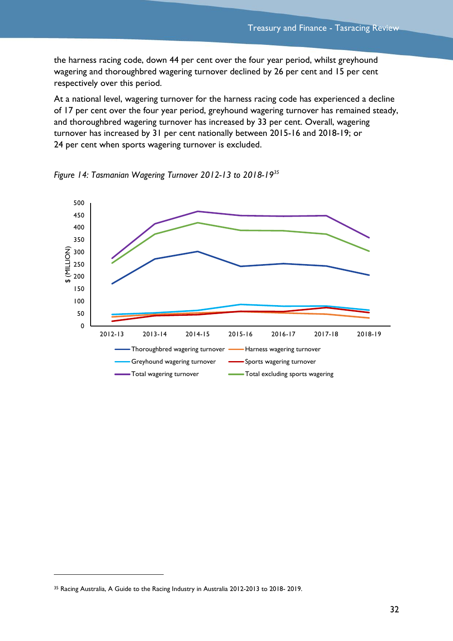the harness racing code, down 44 per cent over the four year period, whilst greyhound wagering and thoroughbred wagering turnover declined by 26 per cent and 15 per cent respectively over this period.

At a national level, wagering turnover for the harness racing code has experienced a decline of 17 per cent over the four year period, greyhound wagering turnover has remained steady, and thoroughbred wagering turnover has increased by 33 per cent. Overall, wagering turnover has increased by 31 per cent nationally between 2015-16 and 2018-19; or 24 per cent when sports wagering turnover is excluded.





 $\overline{a}$ 

<sup>35</sup> Racing Australia, A Guide to the Racing Industry in Australia 2012-2013 to 2018- 2019.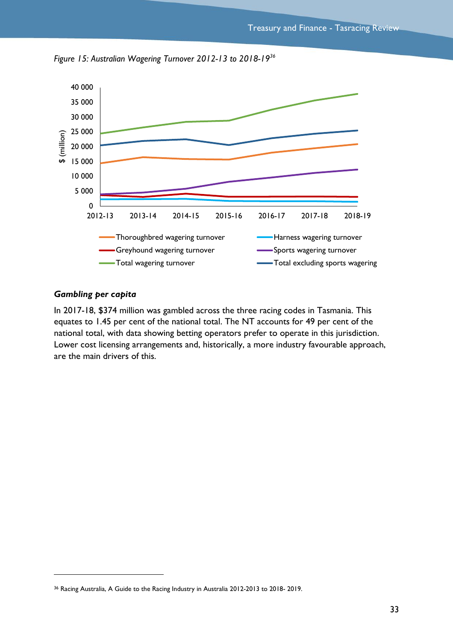

*Figure 15: Australian Wagering Turnover 2012-13 to 2018-19<sup>36</sup>*

#### *Gambling per capita*

 $\overline{a}$ 

In 2017-18, \$374 million was gambled across the three racing codes in Tasmania. This equates to 1.45 per cent of the national total. The NT accounts for 49 per cent of the national total, with data showing betting operators prefer to operate in this jurisdiction. Lower cost licensing arrangements and, historically, a more industry favourable approach, are the main drivers of this.

<sup>36</sup> Racing Australia, A Guide to the Racing Industry in Australia 2012-2013 to 2018- 2019.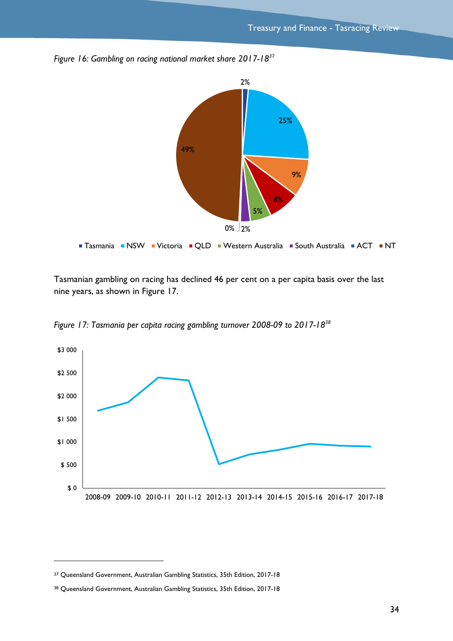

Tasmanian gambling on racing has declined 46 per cent on a per capita basis over the last nine years, as shown in [Figure 17.](#page-35-0)

<span id="page-35-0"></span>*Figure 17: Tasmania per capita racing gambling turnover 2008-09 to 2017-18<sup>38</sup>*

*Figure 16: Gambling on racing national market share 2017-18<sup>37</sup>*



<sup>37</sup> Queensland Government, Australian Gambling Statistics, 35th Edition, 2017-18

<sup>38</sup> Queensland Government, Australian Gambling Statistics, 35th Edition, 2017-18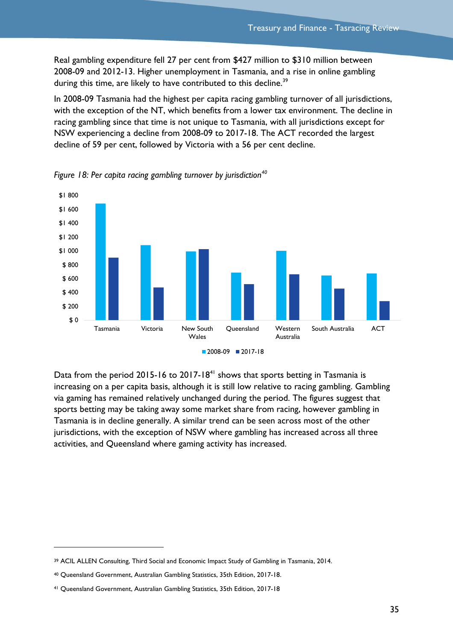Real gambling expenditure fell 27 per cent from \$427 million to \$310 million between 2008-09 and 2012-13. Higher unemployment in Tasmania, and a rise in online gambling during this time, are likely to have contributed to this decline.<sup>39</sup>

In 2008-09 Tasmania had the highest per capita racing gambling turnover of all jurisdictions, with the exception of the NT, which benefits from a lower tax environment. The decline in racing gambling since that time is not unique to Tasmania, with all jurisdictions except for NSW experiencing a decline from 2008-09 to 2017-18. The ACT recorded the largest decline of 59 per cent, followed by Victoria with a 56 per cent decline.



*Figure 18: Per capita racing gambling turnover by jurisdiction<sup>40</sup>*

Data from the period 2015-16 to 2017-18<sup>41</sup> shows that sports betting in Tasmania is increasing on a per capita basis, although it is still low relative to racing gambling. Gambling via gaming has remained relatively unchanged during the period. The figures suggest that sports betting may be taking away some market share from racing, however gambling in Tasmania is in decline generally. A similar trend can be seen across most of the other jurisdictions, with the exception of NSW where gambling has increased across all three activities, and Queensland where gaming activity has increased.

<sup>39</sup> ACIL ALLEN Consulting, Third Social and Economic Impact Study of Gambling in Tasmania, 2014.

<sup>40</sup> Queensland Government, Australian Gambling Statistics, 35th Edition, 2017-18.

<sup>41</sup> Queensland Government, Australian Gambling Statistics, 35th Edition, 2017-18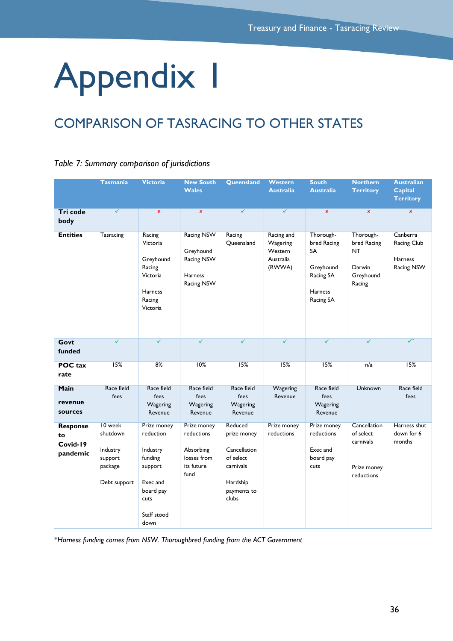# <span id="page-37-0"></span>Appendix 1

## <span id="page-37-1"></span>COMPARISON OF TASRACING TO OTHER STATES

|  |  |  |  | Table 7: Summary comparison of jurisdictions |
|--|--|--|--|----------------------------------------------|
|--|--|--|--|----------------------------------------------|

|                                               | <b>Tasmania</b>                                                       | <b>Victoria</b>                                                                                                    | <b>New South</b><br><b>Wales</b>                                             | <b>Queensland</b>                                                                                    | <b>Western</b><br><b>Australia</b>                       | <b>South</b><br><b>Australia</b>                                                        | <b>Northern</b><br><b>Territory</b>                                    | <b>Australian</b><br><b>Capital</b><br><b>Territory</b> |
|-----------------------------------------------|-----------------------------------------------------------------------|--------------------------------------------------------------------------------------------------------------------|------------------------------------------------------------------------------|------------------------------------------------------------------------------------------------------|----------------------------------------------------------|-----------------------------------------------------------------------------------------|------------------------------------------------------------------------|---------------------------------------------------------|
| Tri code<br>body                              | $\checkmark$                                                          | $\pmb{\times}$                                                                                                     | $\mathbf x$                                                                  | $\checkmark$                                                                                         | ✓                                                        | $\mathbf x$                                                                             | $\pmb{\times}$                                                         | $\pmb{\times}$                                          |
| <b>Entities</b>                               | <b>Tasracing</b>                                                      | Racing<br>Victoria<br>Greyhound<br>Racing<br>Victoria<br>Harness<br>Racing<br>Victoria                             | <b>Racing NSW</b><br>Greyhound<br>Racing NSW<br><b>Harness</b><br>Racing NSW | Racing<br>Queensland                                                                                 | Racing and<br>Wagering<br>Western<br>Australia<br>(RWWA) | Thorough-<br>bred Racing<br>SA<br>Greyhound<br>Racing SA<br><b>Harness</b><br>Racing SA | Thorough-<br>bred Racing<br><b>NT</b><br>Darwin<br>Greyhound<br>Racing | Canberra<br>Racing Club<br>Harness<br>Racing NSW        |
| Govt<br>funded                                | $\checkmark$                                                          | $\checkmark$                                                                                                       | $\checkmark$                                                                 | $\checkmark$                                                                                         | $\checkmark$                                             | $\checkmark$                                                                            | $\checkmark$                                                           | $\overline{\checkmark}^*$                               |
| <b>POC</b> tax<br>rate                        | 15%                                                                   | 8%                                                                                                                 | 10%                                                                          | 15%                                                                                                  | 15%                                                      | 15%                                                                                     | n/a                                                                    | 15%                                                     |
| <b>Main</b><br>revenue<br>sources             | Race field<br>fees                                                    | Race field<br>fees<br>Wagering<br>Revenue                                                                          | Race field<br>fees<br>Wagering<br>Revenue                                    | Race field<br>fees<br>Wagering<br>Revenue                                                            | Wagering<br>Revenue                                      | Race field<br>fees<br>Wagering<br>Revenue                                               | <b>Unknown</b>                                                         | Race field<br>fees                                      |
| <b>Response</b><br>to<br>Covid-19<br>pandemic | 10 week<br>shutdown<br>Industry<br>support<br>package<br>Debt support | Prize money<br>reduction<br>Industry<br>funding<br>support<br>Exec and<br>board pay<br>cuts<br>Staff stood<br>down | Prize money<br>reductions<br>Absorbing<br>losses from<br>its future<br>fund  | Reduced<br>prize money<br>Cancellation<br>of select<br>carnivals<br>Hardship<br>payments to<br>clubs | Prize money<br>reductions                                | Prize money<br>reductions<br>Exec and<br>board pay<br>cuts                              | Cancellation<br>of select<br>carnivals<br>Prize money<br>reductions    | Harness shut<br>down for 6<br>months                    |

*\*Harness funding comes from NSW. Thoroughbred funding from the ACT Government*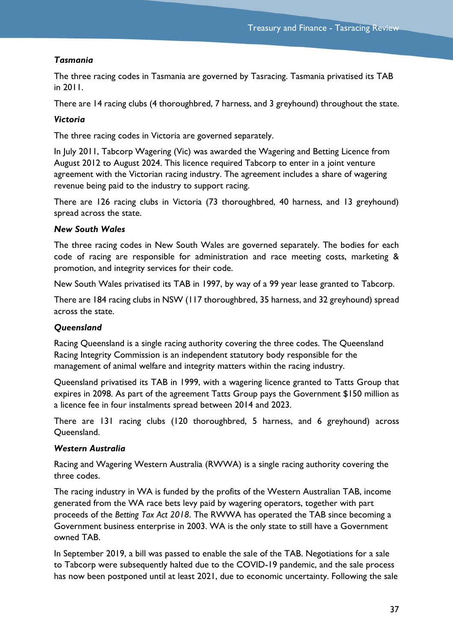## *Tasmania*

The three racing codes in Tasmania are governed by Tasracing. Tasmania privatised its TAB in 2011.

There are 14 racing clubs (4 thoroughbred, 7 harness, and 3 greyhound) throughout the state.

## *Victoria*

The three racing codes in Victoria are governed separately.

In July 2011, Tabcorp Wagering (Vic) was awarded the Wagering and Betting Licence from August 2012 to August 2024. This licence required Tabcorp to enter in a joint venture agreement with the Victorian racing industry. The agreement includes a share of wagering revenue being paid to the industry to support racing.

There are 126 racing clubs in Victoria (73 thoroughbred, 40 harness, and 13 greyhound) spread across the state.

### *New South Wales*

The three racing codes in New South Wales are governed separately. The bodies for each code of racing are responsible for administration and race meeting costs, marketing & promotion, and integrity services for their code.

New South Wales privatised its TAB in 1997, by way of a 99 year lease granted to Tabcorp.

There are 184 racing clubs in NSW (117 thoroughbred, 35 harness, and 32 greyhound) spread across the state.

## *Queensland*

Racing Queensland is a single racing authority covering the three codes. The Queensland Racing Integrity Commission is an independent statutory body responsible for the management of animal welfare and integrity matters within the racing industry.

Queensland privatised its TAB in 1999, with a wagering licence granted to Tatts Group that expires in 2098. As part of the agreement Tatts Group pays the Government \$150 million as a licence fee in four instalments spread between 2014 and 2023.

There are 131 racing clubs (120 thoroughbred, 5 harness, and 6 greyhound) across Queensland.

## *Western Australia*

Racing and Wagering Western Australia (RWWA) is a single racing authority covering the three codes.

The racing industry in WA is funded by the profits of the Western Australian TAB, income generated from the WA race bets levy paid by wagering operators, together with part proceeds of the *Betting Tax Act 2018*. The RWWA has operated the TAB since becoming a Government business enterprise in 2003. WA is the only state to still have a Government owned TAB.

In September 2019, a bill was passed to enable the sale of the TAB. Negotiations for a sale to Tabcorp were subsequently halted due to the COVID-19 pandemic, and the sale process has now been postponed until at least 2021, due to economic uncertainty. Following the sale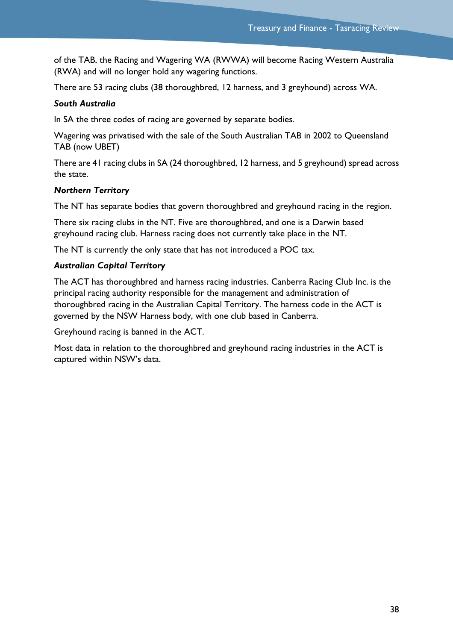of the TAB, the Racing and Wagering WA (RWWA) will become Racing Western Australia (RWA) and will no longer hold any wagering functions.

There are 53 racing clubs (38 thoroughbred, 12 harness, and 3 greyhound) across WA.

## *South Australia*

In SA the three codes of racing are governed by separate bodies.

Wagering was privatised with the sale of the South Australian TAB in 2002 to Queensland TAB (now UBET)

There are 41 racing clubs in SA (24 thoroughbred, 12 harness, and 5 greyhound) spread across the state.

### *Northern Territory*

The NT has separate bodies that govern thoroughbred and greyhound racing in the region.

There six racing clubs in the NT. Five are thoroughbred, and one is a Darwin based greyhound racing club. Harness racing does not currently take place in the NT.

The NT is currently the only state that has not introduced a POC tax.

### *Australian Capital Territory*

The ACT has thoroughbred and harness racing industries. Canberra Racing Club Inc. is the principal racing authority responsible for the management and administration of thoroughbred racing in the Australian Capital Territory. The harness code in the ACT is governed by the NSW Harness body, with one club based in Canberra.

Greyhound racing is banned in the ACT.

Most data in relation to the thoroughbred and greyhound racing industries in the ACT is captured within NSW's data.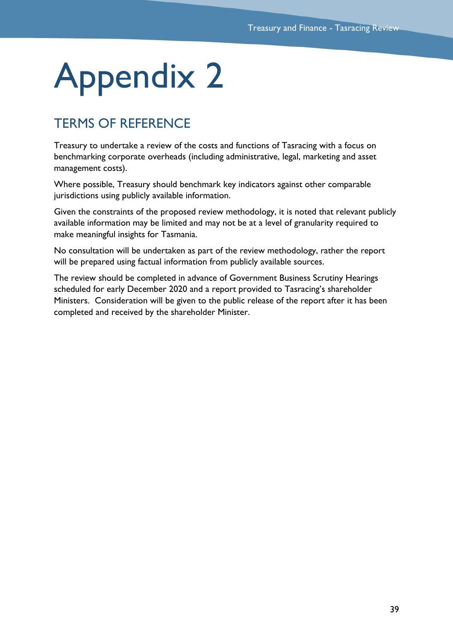## <span id="page-40-0"></span>Appendix 2

## <span id="page-40-1"></span>TERMS OF REFERENCE

Treasury to undertake a review of the costs and functions of Tasracing with a focus on benchmarking corporate overheads (including administrative, legal, marketing and asset management costs).

Where possible, Treasury should benchmark key indicators against other comparable jurisdictions using publicly available information.

Given the constraints of the proposed review methodology, it is noted that relevant publicly available information may be limited and may not be at a level of granularity required to make meaningful insights for Tasmania.

No consultation will be undertaken as part of the review methodology, rather the report will be prepared using factual information from publicly available sources.

The review should be completed in advance of Government Business Scrutiny Hearings scheduled for early December 2020 and a report provided to Tasracing's shareholder Ministers. Consideration will be given to the public release of the report after it has been completed and received by the shareholder Minister.